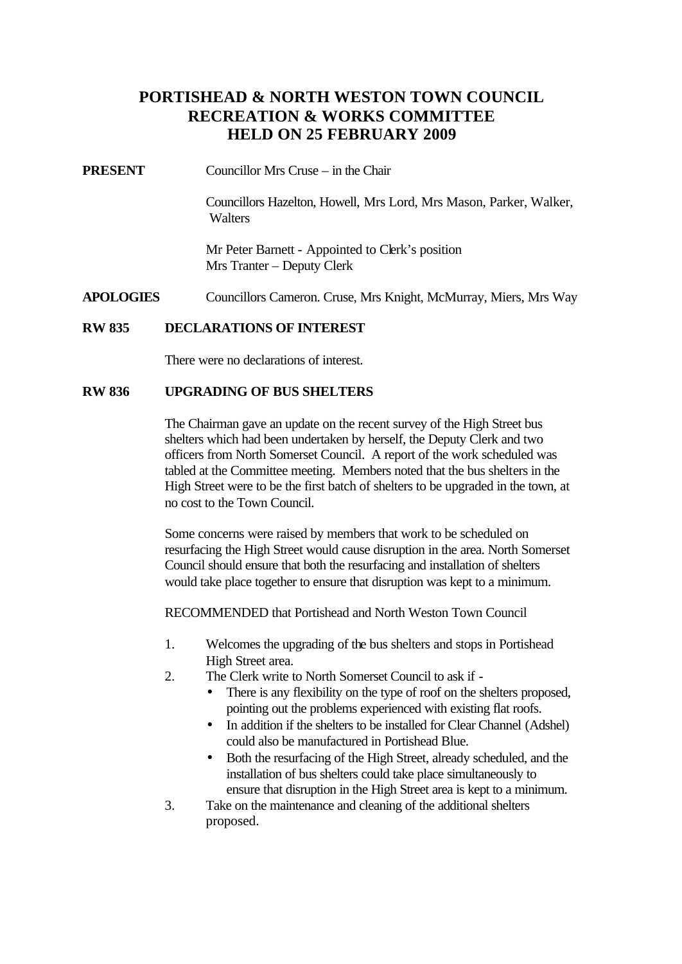# **PORTISHEAD & NORTH WESTON TOWN COUNCIL RECREATION & WORKS COMMITTEE HELD ON 25 FEBRUARY 2009**

**PRESENT** Councillor Mrs Cruse – in the Chair

Councillors Hazelton, Howell, Mrs Lord, Mrs Mason, Parker, Walker, **Walters** 

Mr Peter Barnett - Appointed to Clerk's position Mrs Tranter – Deputy Clerk

**APOLOGIES** Councillors Cameron. Cruse, Mrs Knight, McMurray, Miers, Mrs Way

## **RW 835 DECLARATIONS OF INTEREST**

There were no declarations of interest.

## **RW 836 UPGRADING OF BUS SHELTERS**

The Chairman gave an update on the recent survey of the High Street bus shelters which had been undertaken by herself, the Deputy Clerk and two officers from North Somerset Council. A report of the work scheduled was tabled at the Committee meeting. Members noted that the bus shelters in the High Street were to be the first batch of shelters to be upgraded in the town, at no cost to the Town Council.

Some concerns were raised by members that work to be scheduled on resurfacing the High Street would cause disruption in the area. North Somerset Council should ensure that both the resurfacing and installation of shelters would take place together to ensure that disruption was kept to a minimum.

RECOMMENDED that Portishead and North Weston Town Council

- 1. Welcomes the upgrading of the bus shelters and stops in Portishead High Street area.
- 2. The Clerk write to North Somerset Council to ask if
	- There is any flexibility on the type of roof on the shelters proposed, pointing out the problems experienced with existing flat roofs.
	- In addition if the shelters to be installed for Clear Channel (Adshel) could also be manufactured in Portishead Blue.
	- Both the resurfacing of the High Street, already scheduled, and the installation of bus shelters could take place simultaneously to ensure that disruption in the High Street area is kept to a minimum.
- 3. Take on the maintenance and cleaning of the additional shelters proposed.